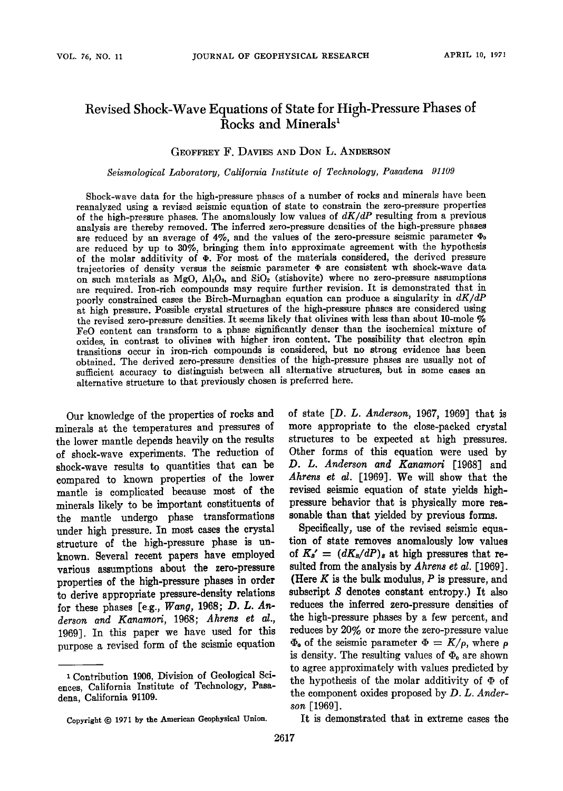# **Revised Shock-Wave Equations of State for High-Pressure Phases of** Rocks and Minerals<sup>1</sup>

### **GEOFFREY F. DAVIES AND DON L. ANDERSON**

**Seismological Laboratory, California Institute of Technology, Pasadena 91109** 

**Shock-wave data for the high-pressure phases of a number of rocks and minerals have been reanalyzed using a revised seismic equation of state to constrain the zero-pressure properties**  of the high-pressure phases. The anomalously low values of  $dK/dP$  resulting from a previous analysis are thereby removed. The inferred zero-pressure densities of the high-pressure phases are reduced by an average of  $4\%$ , and the values of the zero-pressure seismic parameter  $\Phi_0$ **are reduced by up to 30%, bringing them into approximate agreement with the hypothesis**  of the molar additivity of  $\Phi$ . For most of the materials considered, the derived pressure trajectories of density versus the seismic parameter  $\Phi$  are consistent wth shock-wave data on such materials as  $MgO$ ,  $Al_2O_3$ , and  $SiO_2$  (stishovite) where no zero-pressure assumptions **are required. Iron-rich compounds may require further revision. It is demonstrated that in**  poorly constrained cases the Birch-Murnaghan equation can produce a singularity in  $dK/dP$ **at high pressure. Possible crystal structures of the high-pressure phases are considered using**  the revised zero-pressure densities. It seems likely that olivines with less than about 10-mole % **FeO content can transform to a phase significantly denser than the isochemical mixture of oxides, in contrast to olivines with higher iron content. The possibility that electron spin transitions occur in iron-rich compounds is considered, but no strong evidence has been obtained. The derived zero-pressure densities of the high-pressure phases are usually not of sufficient accuracy to distinguish between all alternative structures, but in some cases an alternative structure to that previously chosen is preferred here.** 

Our knowledge of the properties of rocks and **minerals at the temperatures and pressures of the lower mantle depends heavily on the results of shock-wave experiments. The reduction of shock-wave results to quantities that can be compared to known properties of the lower mantle is complicated because most of the minerals likely to be important constituents of the mantle undergo phase transformations**  under high pressure. In most cases the crystal **structure of the high-pressure phase is unknown. Several recent papers have employed various assumptions about the zero-pressure**  properties of the high-pressure phases in order **to derive appropriate pressure-density relations for these phases [e.g., Wang, 1968; D. L. Anderson and Kanamori, 1968; Ahrens etal., 1969]. In this paper we have used for this purpose a revised form of the seismic equation** 

**of state [D. L. Anderson, 1967, 1969] that is more appropriate to the close-packed crystal structures to be expected at high pressures. Other forms of this equation were used by**  D. L. Anderson and Kanamori [1968] and **Ahrens etal. [1969]. We will show that the revised seismic equation of state yields highpressure behavior that is physically more reasonable than that yielded by previous forms.** 

**Specifically, use of the revised seismic equation of state removes anomalously low values**  of  $K_s' = (dK_s/dP)_s$  at high pressures that resulted from the analysis by *Ahrens et al.* [1969]. **(Here K is the bulk modulus, P is pressure, and subscript \$ denotes constant entropy.) It also reduces the inferred zero-pressure densities of the high-pressure phases by a few percent, and reduces by 20% or more the zero-pressure value**   $\Phi_0$  of the seismic parameter  $\Phi = K/\rho$ , where  $\rho$ is density. The resulting values of  $\Phi_0$  are shown **to agree approximately with values predicted by**  the hypothesis of the molar additivity of  $\Phi$  of **the component oxides proposed by D. L. Anderson [1969].** 

**It is demonstrated that in extreme cases the** 

<sup>&</sup>lt;sup>1</sup> Contribution 1906, Division of Geological Sci**ences, California Institute of Technology, Pasadena, California 91109.** 

Copyright  $© 1971$  by the American Geophysical Union.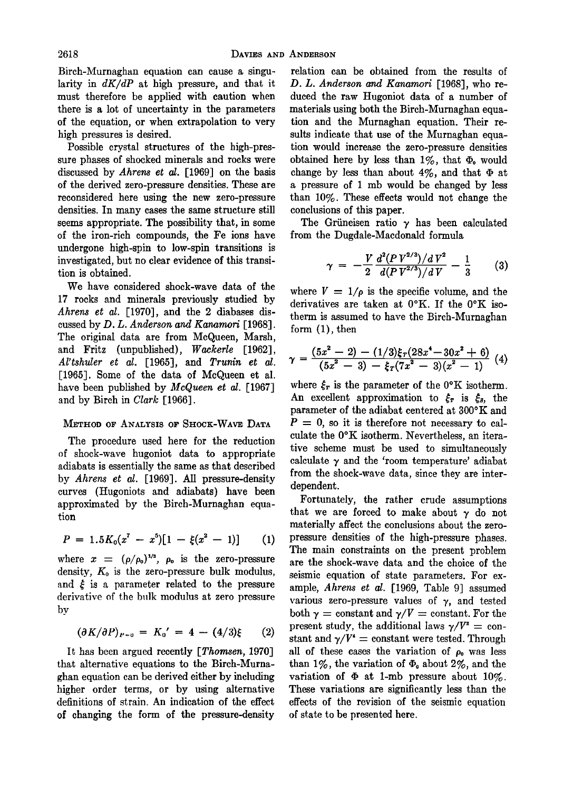**Birch-Murnaghan equation can cause a singularity in dK/dP at high pressure, and that it must therefore be applied with caution when there is a lot of uncertainty in the parameters of the equation, or when extrapolation to very high pressures is desired.** 

**Possible crystal structures of the high-pressure phases of shocked minerals and rocks were discussed by Ahrens et al. [1969] on the basis of the derived zero-pressure densities. These are reconsidered here using the new zero-pressure densities. In many cases the same structure still seems appropriate. The possibility that, in some of the iron-rich compounds, the Fe ions have undergone high-spin to low-spin transitions is**  investigated, but no clear evidence of this transi**tion is obtained.** 

**We have considered shock-wave data of the 17 rocks and minerals previously studied by Ahrens et al. [1970], and the 2 diabases discussed by D. L. Anderson and Kanamori [1968]. The original data are from McQueen, Marsh, and Fritz (unpublished), Wackerle [1962], Al'tshuler et al. [1965], and Trunin et al. [1965]. Some of the data of McQueen et al. have been published by McQueen et al. [1967] and by Birch in Clark [1966].** 

### **METHOD OF ANALYSIS OF SHOCK-WAvE DATA**

**The procedure used here for the reduction of shock-wave hugoniot data to appropriate adiabats is essentially the same as that described by Ahrens et al. [1969]. All pressure-density curves (Hugoniots and adiabats) have been approximated by the Birch-Murnaghan equation** 

$$
P = 1.5K_0(x^7 - x^5)[1 - \xi(x^2 - 1)] \qquad (1)
$$

where  $x = (\rho/\rho_0)^{1/3}$ ,  $\rho_0$  is the zero-pressure density,  $K_0$  is the zero-pressure bulk modulus, and  $\xi$  is a parameter related to the pressure **derivative of the bulk modulus at zero pressure by** 

$$
(\partial K/\partial P)_{P=0} = K_0' = 4 - (4/3)\xi \qquad (2)
$$

**It has been argued recently [Thomsen, 1970] that alternative equations to the Birch-Murnaghan equation can be derived either by including higher order terms, or by using alternative definitions of strain. An indication of the effect of changing the form of the pressure-density** 

**relation can be obtained from the results of D. L. Anderson and Kanamori [1968], who reduced the raw Hugoniot data of a number of materials using both the Birch-Murnaghan equation and the Murnaghan equation. Their results indicate that use of the Murnaghan equation would increase the zero-pressure densities**  obtained here by less than  $1\%$ , that  $\Phi_0$  would change by less than about  $4\%$ , and that  $\Phi$  at **a pressure of 1 mb would be changed by less than 10%. These effects would not change the conclusions of this paper.** 

The Grüneisen ratio  $\gamma$  has been calculated **from the Dugdale-Macdonald formula** 

$$
\gamma = -\frac{V}{2} \frac{d^2 (PV^{2/3})/dV^2}{d(PV^{2/3})/dV} - \frac{1}{3} \tag{3}
$$

where  $V = 1/\rho$  is the specific volume, and the **derivatives are taken at 0øK. If the 0øK isotherm is assumed to have the Birch-Murnaghan form (1), then** 

$$
\gamma = \frac{(5x^2 - 2) - (1/3)\xi_T(28x^4 - 30x^2 + 6)}{(5x^2 - 3) - \xi_T(7x^2 - 3)(x^2 - 1)} \tag{4}
$$

where  $\xi_r$  is the parameter of the  $0^\circ$ K isotherm. An excellent approximation to  $\xi_r$  is  $\xi_s$ , the parameter of the adiabat centered at 300°K and  $P = 0$ , so it is therefore not necessary to calculate the  $0^{\circ}K$  isotherm. Nevertheless, an itera**tive scheme must be used to simultaneously**  calculate  $\gamma$  and the 'room temperature' adiabat **from the shock-wave data, since they are interdependent.** 

**Fortunately, the rather crude assumptions**  that we are forced to make about  $\gamma$  do not **materially affect the conclusions about the zeropressure densities of the high-pressure phases. The main constraints on the present problem are the shock-wave data and the choice of the seismic equation of state parameters. For example, Ahrens et al. [1969, Table 9] assumed**  various zero-pressure values of  $\gamma$ , and tested both  $\gamma =$  constant and  $\gamma/V =$  constant. For the present study, the additional laws  $\gamma/V^2 = \text{con}$ stant and  $\gamma/V^* =$  constant were tested. Through all of these cases the variation of  $\rho_0$  was less than  $1\%$ , the variation of  $\Phi_0$  about  $2\%$ , and the variation of  $\Phi$  at 1-mb pressure about 10%. **These variations are significantly less than the effects of the revision of the seismic equation of state to be presented here.**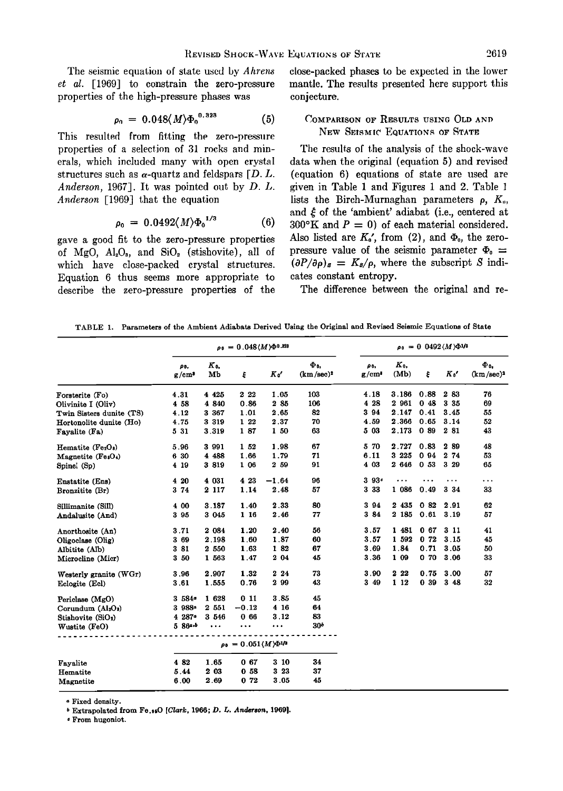The seismic equation of state used by *Ahrens* **et al. [1969] to constrain the zero-pressure properties of the high-pressure phases was** 

$$
\rho_0 = 0.048 \langle M \rangle \Phi_0^{0.323} \tag{5}
$$

This resulted from fitting the zero-pressure properties of a selection of 31 rocks and min**erals, which included many with open crystal**  structures such as  $\alpha$ -quartz and feldspars  $[D, L]$ . **Anderson, 1967]. It was pointed out by D. L. Anderson [1969] that the equation** 

$$
\rho_0 = 0.0492 \langle M \rangle {\Phi_0}^{1/3} \tag{6}
$$

**gave a good fit to the zero-pressure properties**  of  $MgO$ ,  $Al_2O_3$ , and  $SiO_2$  (stishovite), all of **which have close-packed crystal structures. Equation 6 thus seems more appropriate to describe the zero-pressure properties of the**  **close-packed phases to be expected in the lower mantle. The results presented here support this conjecture.** 

## **COMPARISON OF RESULTS USING OLD AND NEw SEISMIC EQUATIONS OF STATE**

**The results of the analysis of the shock-wave data when the original (equation 5) and revised (equation 6) equations of state are used are given in Table 1 and Figures 1 and 2. Table**  lists the Birch-Murnaghan parameters  $\rho$ ,  $K_{0}$ , and  $\xi$  of the 'ambient' adiabat (i.e., centered at  $300^{\circ}$ K and  $P = 0$ ) of each material considered. Also listed are  $K_0'$ , from (2), and  $\Phi_0$ , the zero**pressure value of the seismic parameter**  $\Phi_0 =$  $(\partial P/\partial \rho)_s = K_s/\rho$ , where the subscript S indi**cates constant entropy.** 

**The difference between the original and re-**

**TABLE 1. Parameters of the Ambient Adiabats Derived Using the Original and Revised Seismic Equations of State** 

|                                            | $\rho_0 = 0.048 \langle M \rangle \Phi^{0.323}$ |               |         |         |                     | $\rho_0 = 0.0492 \langle M \rangle \Phi^{1/3}$ |               |                 |          |                     |
|--------------------------------------------|-------------------------------------------------|---------------|---------|---------|---------------------|------------------------------------------------|---------------|-----------------|----------|---------------------|
|                                            | ρ٥,<br>g/cm <sup>3</sup>                        | $K_{0}$<br>Mb | ξ       | K o'    | Фυ.<br>$(km/sec)^2$ | ρо.<br>g/cm <sup>s</sup>                       | $K_0$<br>(Mb) | ŧ               | $K_0'$   | Ф.,<br>$(km/sec)^2$ |
| Forsterite (Fo)                            | 4.31                                            | 4 4 25        | 2 2 2   | 1.05    | 103                 | 4.18                                           | 3 186         | 0.88            | 2 83     | 76                  |
| Olivinite I (Oliv)                         | 4 58                                            | 4 8 4 0       | 0.86    | 2 85    | 106                 | 4 28                                           | 2 961         | 0.48            | 3 35     | 69                  |
| Twin Sisters dunite (TS)                   | 4.12                                            | 3 3 6 7       | 1.01    | 2.65    | 82                  | 3 9 4                                          | 2.147         | 0.41            | 3.45     | 55                  |
| Hortonolite dunite (Ho)                    | 4.75                                            | 3 319         | 1 22    | 2.37    | 70                  | 4.59                                           | 2.366         | 0.65            | 3.14     | 52                  |
| Fayalite (Fa)                              | 5 31                                            | 3.319         | 187     | 1 50    | 63                  | 5 03                                           | 2.173         | 0.89            | 2 81     | 43                  |
| Hematite (Fe2O2)                           | 5.96                                            | 3 991         | 1 52    | 1.98    | 67                  | 5 70                                           | 2.727         | 0.83            | 289      | 48                  |
| Magnetite (FesO4)                          | 6 30                                            | 4 488         | 1.66    | 1.79    | 71                  | 6.11                                           | 3 2 2 5       | 094             | 2 74     | 53                  |
| Spinel (Sp)                                | 4 19                                            | 3 819         | 1 06    | 2 59    | 91                  | 4 03                                           | 2 646         | 0.53            | 3 29     | 65                  |
| Enstatite (Ens)                            | 4 20                                            | 4 031         | 4 23    | $-1.64$ | 96                  | 3.93c                                          |               |                 | $\cdots$ | $\cdots$            |
| Bronzitite (Br)                            | 3 74                                            | 2 117         | 1.14    | 2.48    | 57                  | 3 3 3                                          | 1 086         | 0.49            | 3 3 4    | 33                  |
| Sillimanite (Sill)                         | 4 00                                            | 3.187         | 1.40    | 2.33    | 80                  | 3 94                                           | 2 4 3 5       | 082             | 2.91     | 62                  |
| Andalusite (And)                           | 3 95                                            | 3 0 4 5       | 1 16    | 2.46    | 77                  | 3 84                                           | 2 185         | 0.61            | 3.19     | 57                  |
| Anorthosite (An)                           | 3.71                                            | 2 0 8 4       | 1.20    | 2.40    | 56                  | 3.57                                           | 1 481         | 0 <sub>67</sub> | 3 11     | 41                  |
| Oligoclase (Olig)                          | 3 69                                            | 2.198         | 1.60    | 1.87    | 60                  | 3.57                                           | 1 592         | 0.72            | 3.15     | 45                  |
| Albitite (Alb)                             | 381                                             | 2 550         | 1.63    | 1 82    | 67                  | 3.69                                           | 1.84          | 0.71            | 3.05     | 50                  |
| Microcline (Micr)                          | 3 50                                            | 1 563         | 1.47    | 2 04    | 45                  | 3.36                                           | 1 09          | 070             | 3.06     | 33                  |
| Westerly granite (WGr)                     | 3.96                                            | 2.907         | 1.32    | 22.24   | 73                  | 3.90                                           | 2 2 2         | 0.75            | 3.00     | 57                  |
| Eclogite (Ecl)                             | 3.61                                            | 1.555         | 0.76    | 2 9 9   | 43                  | 349                                            | 1 12          | 0.39            | 3 4 8    | 32                  |
| Periclase (MgO)                            | 3 584                                           | 1 628         | 011     | 3.85    | 45                  |                                                |               |                 |          |                     |
| Corundum (Al <sub>2</sub> O <sub>2</sub> ) | 3988-                                           | 2 551         | $-0.12$ | 4 16    | 64                  |                                                |               |                 |          |                     |
| Stishovite (SiO <sub>2</sub> )             | 4 287 *                                         | 3 546         | 066     | 3.12    | 83                  |                                                |               |                 |          |                     |
| Wustite (FeO)                              | 5 864.6                                         | $\cdots$      |         |         | 30 <sup>b</sup>     |                                                |               |                 |          |                     |
|                                            | $\rho_0 = 0.051 \langle M \rangle \Phi^{1/2}$   |               |         |         |                     |                                                |               |                 |          |                     |
| Favalite                                   | 482                                             | 1.65          | 0.67    | 310     | 34                  |                                                |               |                 |          |                     |
| Hematite                                   | 5.44                                            | 2 03          | 0.58    | 3 23    | 37                  |                                                |               |                 |          |                     |
| Magnetite                                  | 6.00                                            | 2.69          | 0.72    | 3.05    | 45                  |                                                |               |                 |          |                     |

**Fixed density.** 

**Extrapolated from Fe.•O [Clark, 1966; D. L. Anderson, 1969].** 

**From hugoniot.**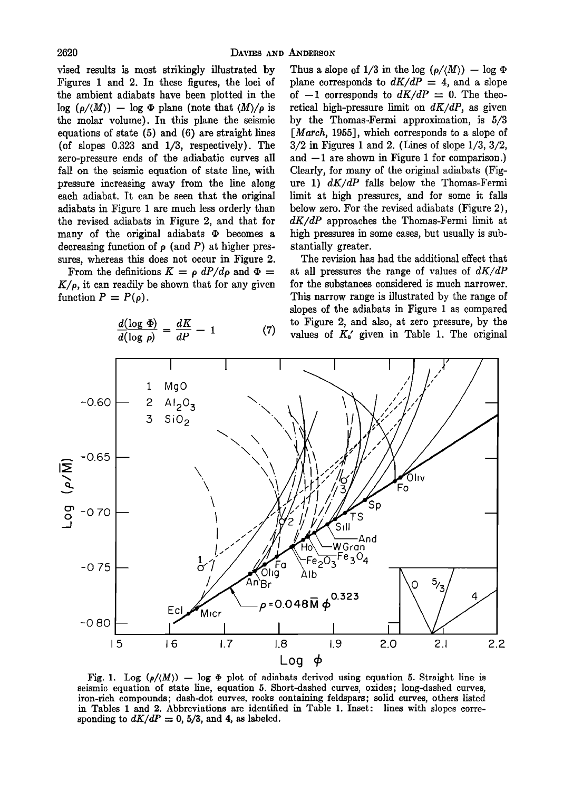**vised results is most strikingly illustrated by Figures I and 2. In these figures, the loci of the ambient adiabats have been plotted in the**   $\log$  ( $\rho/(M)$ ) -  $\log$   $\Phi$  plane (note that  $\langle M \rangle / \rho$  is **the molar volume). In this plane the seismic equations of state (5) and (6) are straight lines (of slopes 0.323 and 1/3, respectively). The zero-pressure ends of the adiabatic curves all fall on the seismic equation of state line, with pressure increasing away from the line along each adiabat. It can be seen that the original adiabats in Figure i are much less orderly than the revised adiabats in Figure 2, and that for**  many of the original adiabats  $\Phi$  becomes a decreasing function of  $\rho$  (and P) at higher pres**sures, whereas this does not occur in Figure 2.** 

**From the definitions**  $K = \rho dP/d\rho$  **and**  $\Phi =$  $K/\rho$ , it can readily be shown that for any given function  $P = P(\rho)$ .

$$
\frac{d(\log \Phi)}{d(\log \rho)} = \frac{dK}{dP} - 1 \tag{7}
$$

Thus a slope of  $1/3$  in the log  $(\rho/(M)) - \log \Phi$ plane corresponds to  $dK/dP = 4$ , and a slope of  $-1$  corresponds to  $dK/dP = 0$ . The theoretical high-pressure limit on  $dK/dP$ , as given **by the Thomas-Fermi approximation, is 5/3 [March, 1955], which corresponds to a slope of 3/2 in Figures i and 2. (Lines of slope 1/3, 3/2,**  and  $-1$  are shown in Figure 1 for comparison.) **Clearly, for many of the original adiabats (Figure 1) dK/dP falls below the Thomas-Fermi limit at high pressures, and for some it falls below zero. For the revised adiabats (Figure 2), dK/dP approaches the Thomas-Fermi limit at high pressures in some cases, but usually is substantially greater.** 

**The revision has had the additional effect that at all pressures the range of values of dK/dP for the substances considered is much narrower. This narrow range is illustrated by the range of**  slopes of the adiabats in Figure 1 as compared **to Figure 2, and also, at zero pressure, by the**  values of  $K_0'$  given in Table 1. The original



Fig. 1. Log  $(\rho/(M))$  - log  $\Phi$  plot of adiabats derived using equation 5. Straight line is **seismic equation of state line, equation 5. Short-dashed curves, oxides; long-dashed curves, iron-rich compounds; dash-dot curves, rocks containing feldspars; solid curves, others listed in Tables I and 2. Abbreviations are identified in Table 1. Inset: lines with slopes corre**sponding to  $dK/dP = 0$ , 5/3, and 4, as labeled.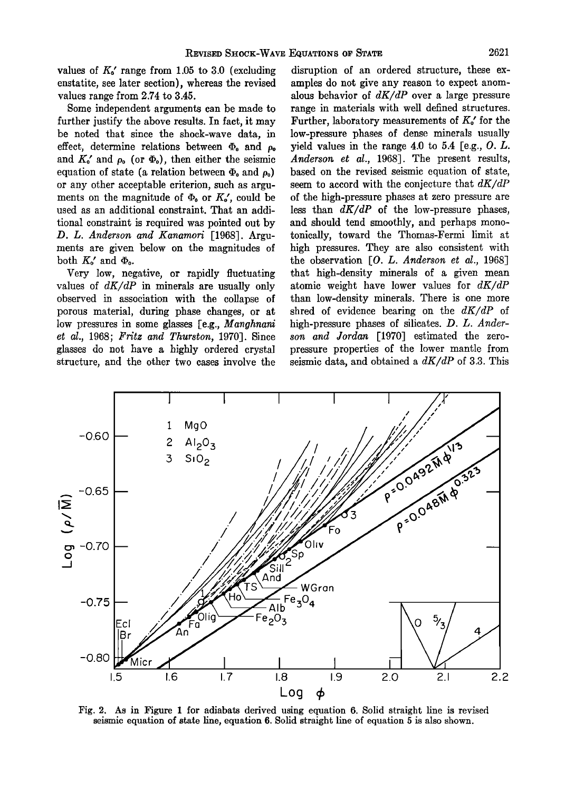values of  $K_0'$  range from 1.05 to 3.0 (excluding **enstatite, see later section), whereas the revised values range from 2.74 to 3.45.** 

**Some independent arguments can be made to further justify the above results. In fact, it may be noted that since the shock-wave data, in**  effect, determine relations between  $\Phi_0$  and  $\rho_0$ and  $K_0'$  and  $\rho_0$  (or  $\Phi_0$ ), then either the seismic equation of state (a relation between  $\Phi_0$  and  $\rho_0$ ) **or any other acceptable criterion, such as argu**ments on the magnitude of  $\Phi_0$  or  $K_0'$ , could be **used as an additional constraint. That an additional constraint is required was pointed out by D. L. Anderson and Kanamori [1968]. Arguments are given below on the magnitudes of**  both  $K_o'$  and  $\Phi_o$ .

**Very low, negative, or rapidly fluctuating values of dK/dP in minerals are usually only observed in association with the collapse of porous material, during phase changes, or at**  low pressures in some glasses [e.g., Manghnani **et al., 1968; Fritz and Thurston, 1970]. Since glasses do not have a highly ordered crystal structure, and the other two cases involve the** 

**disruption of an ordered structure, these examples do not give any reason to expect anomalous behavior of dK/dP over a large pressure range in materials with well defined structures. Further, laboratory measurements of**  $K_o'$  **for the low-pressure phases of dense minerals usually yield values in the range 4.0 to 5.4 [e.g., O. L.**  Anderson et al., 1968]. The present results, **based on the revised seismic equation of state, seem to accord with the conjecture that dK/dP of the high-pressure phases at zero pressure are less than dK/dP of the low-pressure phases, and should tend smoothly, and perhaps monotonically, toward the Thomas-Fermi limit at high pressures. They are also consistent with**  the observation [O. L. Anderson et al., 1968] **that high-density minerals of a given mean atomic weight have lower values for dK/dP than low-density minerals. There is one more shred of evidence bearing on the dK/dP of high-pressure phases of silicates. D. L. Anderson and Jordan [1970] estimated the zero**pressure properties of the lower mantle from **seismic data, and obtained a dK/dP of 3.3. This** 



**Fig. 2. As in Figure 1 for adiabats derived using equation 6. Solid straight line is revised seismic equation of state line, equation 6. Solid straight line of equation 5 is also shown.**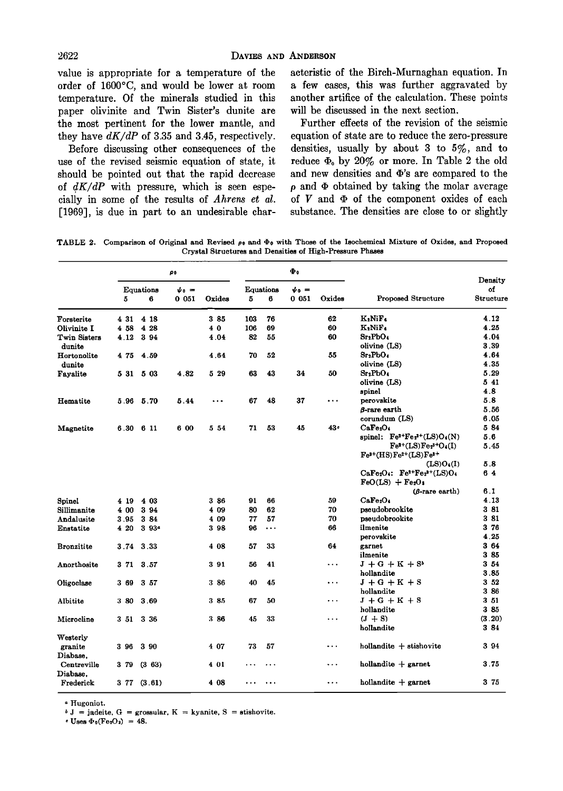**value is appropriate for a temperature of the order of 1600øC, and would be lower at room temperature. Of the minerals studied in this paper olivinite and Twin Sister's dunire are the most pertinent for the lower mantle, and they have dK/dP of 3.35 and 3.45, respectively.** 

**Before discussing other consequences of the use of the revised seismic equation of state, it should be pointed out that the rapid decrease of 4K/dP with pressure, which is seen especially in some of the results of Ahrens et al. [1969], is due in part to an undesirable char-**

**acteristic of the Birch-Murnaghan equation. In a few cases, this was further aggravated by another artifice of the calculation. These points will be discussed in the next section.** 

**Further effects of the revision of the seismic equation of state are to reduce the zero-pressure densities, usually by about 3 to 5%, and to**  reduce  $\Phi_0$  by 20% or more. In Table 2 the old and new densities and  $\Phi$ 's are compared to the **p and ß obtained by taking the molar average**  of  $V$  and  $\Phi$  of the component oxides of each **substance. The densities are close to or slightly** 

TABLE 2. Comparison of Original and Revised  $\rho_0$  and  $\Phi_0$  with Those of the Isochemical Mixture of Oxides, and Proposed **Crystal Structures and Densities of High-Pressure Phases** 

|                         | ρ0                  |                   |                                      | Ф.       |                     |           |                           |           |                                                      |                            |
|-------------------------|---------------------|-------------------|--------------------------------------|----------|---------------------|-----------|---------------------------|-----------|------------------------------------------------------|----------------------------|
|                         | Equations<br>5<br>6 |                   | $\dot{\psi}$ <sub>0</sub> =<br>00051 | Oxides   | Equations<br>5<br>6 |           | $\mathbf{v}_0 =$<br>0 051 | Oxides    | Proposed Structure                                   | Density<br>of<br>Structure |
| Forsterite              | 4 31                | 4 18              |                                      | 3 85     | 103                 | 76        |                           | 62        | $K_2NiF_4$                                           | 4.12                       |
| Olivinite I             | 4 58                | 4 28              |                                      | 40       | 106                 | 69        |                           | 60        | $K_2Ni\Gamma_4$                                      | 4.25                       |
| Twin Sisters<br>dunite  | 4.12                | 3 9 4             |                                      | 4.04     | 82                  | 55        |                           | 60        | Sr <sub>2</sub> PbO <sub>4</sub><br>olivine (LS)     | 4.04<br>3.39               |
| Hortonolite<br>dunite   | 475                 | 4.59              |                                      | 4.64     | 70                  | 52        |                           | 55        | Sr <sub>2</sub> PbO <sub>4</sub><br>olivine (LS)     | 4.64<br>4.35               |
| Fayalite                | 5 31                | 5 03              | 4.82                                 | 5 29     | 63                  | 43        | 34                        | 50        | Sr:PbO4<br>olivine (LS)                              | 5.29<br>5 41               |
|                         |                     |                   |                                      |          |                     |           |                           |           | spinel                                               | 4.8                        |
| Hematite                |                     | 5.96 5.70         | 5.44                                 | $\cdots$ | 67                  | 48        | 37                        |           | perovskite                                           | 5.8                        |
|                         |                     |                   |                                      |          |                     |           |                           |           | 8-rare earth                                         | 5.56                       |
|                         |                     |                   |                                      |          |                     |           |                           |           | corundum (LS)                                        | 6.05                       |
| Magnetite               | 6.30                | 6 11              | 6 00                                 | 5 54     | 71                  | 53        | 45                        | 43.       | CaFe <sub>2</sub> O <sub>4</sub>                     | 584                        |
|                         |                     |                   |                                      |          |                     |           |                           |           | spinel: $Fe^{2+}Fe_2^{3+}(LS)O_4(N)$                 | 5.6                        |
|                         |                     |                   |                                      |          |                     |           |                           |           | $Fe^{2+}(LS)Fe^{3+}O_4(I)$<br>$Fe3+(HS)Fe2+(LS)Fe3+$ | 5.45                       |
|                         |                     |                   |                                      |          |                     |           |                           |           | (LS)O <sub>4</sub> (I)                               | 5.8                        |
|                         |                     |                   |                                      |          |                     |           |                           |           | $CaFe2O4: Fe2+Fe23+(LS)O4$<br>$FeO(LS) + Fe2O4$      | 64                         |
|                         |                     |                   |                                      |          |                     |           |                           |           | $(B\text{-}rare earth)$                              | 61                         |
| Spinel                  | 4 19                | 4 03              |                                      | 3 86     | 91                  | 66        |                           | 59        | CaFe2O4                                              | 4.13                       |
| Sillimanite             | 4 00                | 3 94              |                                      | 4 09     | 80                  | 62        |                           | 70        | pseudobrookite                                       | 381                        |
| Andalusite              | 3.95                | 3 84              |                                      | 4 09     | 77                  | 57        |                           | 70        | pseudobrookite                                       | 381                        |
| Enstatite               | 4 20                | 3.93 <sup>a</sup> |                                      | 3 98     | 96                  | $\cdots$  |                           | 66        | ilmenite                                             | 376                        |
|                         |                     |                   |                                      |          |                     |           |                           |           | perovskite                                           | 4.25                       |
| <b>Bronzitite</b>       |                     | 3.74 3.33         |                                      | 408      | 57                  | 33        |                           | 64        | garnet                                               | 3 64                       |
|                         |                     |                   |                                      |          |                     |           |                           |           | ilmenite                                             | 3 85                       |
| Anorthosite             | 3 71                | 3.57              |                                      | 391      | 56                  | 41        |                           | .         | $J + G + K + S^*$                                    | 3 54                       |
|                         |                     |                   |                                      |          |                     |           |                           |           | hollandite                                           | 3.85                       |
| Oligoclase              | 3 69                | 3 57              |                                      | 386      | 40                  | 45        |                           | $\ddotsc$ | $J + G + K + S$                                      | 3 <sub>52</sub><br>3 86    |
|                         |                     |                   |                                      |          | 67                  | 50        |                           | .         | hollandite                                           | 351                        |
| Albitite                | 3 80                | 3 69              |                                      | 385      |                     |           |                           |           | $J + G + K + S$<br>hollandite                        | 385                        |
| Microcline              | 351                 | 3 36              |                                      | 386      | 45                  | 33        |                           | .         | $(J + S)$                                            | (3.20)                     |
|                         |                     |                   |                                      |          |                     |           |                           |           | hollandite                                           | 384                        |
| Westerly<br>granite     | 396                 | 3 90              |                                      | 4 07     | 73                  | 57        |                           |           | $h$ ollandite $+$ stishovite                         | 394                        |
| Diabase.                |                     |                   |                                      |          |                     |           |                           |           |                                                      |                            |
| Centreville<br>Diabase. | 379                 | (363)             |                                      | 4 01     | $\ddotsc$           | $\ddotsc$ |                           | .         | $h$ ollandite $+$ garnet                             | 3.75                       |
| Frederick               |                     | 377(3.61)         |                                      | 4 08     | .                   | $\ddotsc$ |                           | .         | $h$ ollandite $+$ garnet                             | 3 75                       |

**Hugoniot.** 

 $j = j$ adeite, G = grossular, K = kyanite, S = stishovite.

 $\cdot$  Uses  $\Phi_0$ (Fe<sub>2</sub>O<sub>2</sub>) = 48.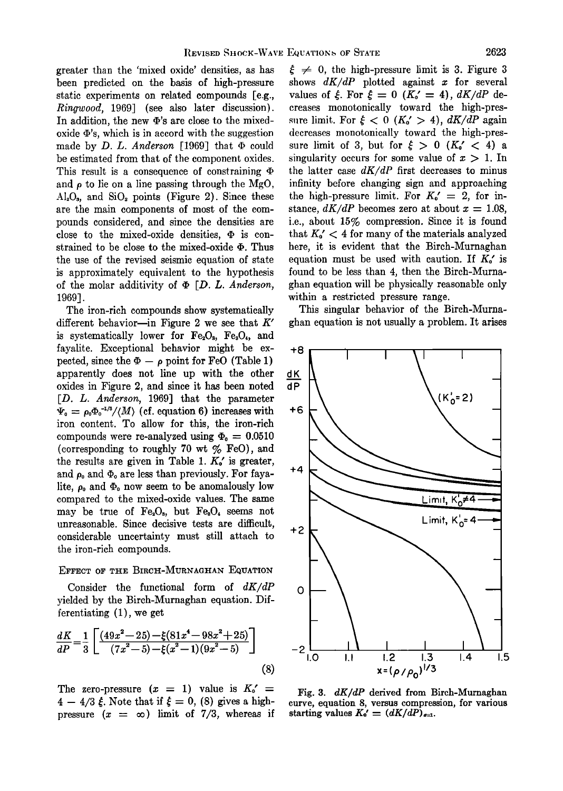**greater than the 'mixed oxide' densities, as has been predicted on the basis of high-pressure static experiments on related compounds [e.g., Ringwood, 1969] (see also later discussion).**  In addition, the new  $\Phi$ 's are close to the mixed**oxide •'s, which is in accord with the suggestion**  made by  $D$ .  $L$ . Anderson [1969] that  $\Phi$  could **be estimated from that of the component oxides. This result is a consequence of constraining**  and  $\rho$  to lie on a line passing through the MgO, **A120•, and Si02 points (Figure 2). Since these are the main components of most of the compounds considered, and since the densities are close to the mixed-oxide densities, ß is con**strained to be close to the mixed-oxide  $\Phi$ . Thus **the use of the revised seismic equation of state is approximately equivalent to the hypothesis of the molar additivity of ß [D. L. Anderson, 1969].** 

**The iron-rich compounds show systematically**  different behavior--in Figure 2 we see that  $K'$ is systematically lower for  $Fe<sub>2</sub>O<sub>a</sub>$ ,  $Fe<sub>3</sub>O<sub>4</sub>$ , and **fayalite. Exceptional behavior might be ex**pected, since the  $\Phi - \rho$  point for FeO (Table 1) **apparently does not line up with the other oxides in Figure 2, and since it has been noted [D. L. Anderson, 1969] that the parameter**   $\Psi_{0} = \rho_{0} \Phi_{0}^{-1/3} / \langle M \rangle$  (cf. equation 6) increases with **iron content. To allow for this, the iron-rich**  compounds were re-analyzed using  $\Phi_0 = 0.0510$ **(corresponding to roughly 70 wt % FeO), and**  the results are given in Table 1.  $K_0'$  is greater, and  $\rho_0$  and  $\Phi_0$  are less than previously. For fayalite,  $\rho_0$  and  $\Phi_0$  now seem to be anomalously low **compared to the mixed-oxide values. The same**  may be true of  $Fe<sub>2</sub>O<sub>3</sub>$ , but  $Fe<sub>3</sub>O<sub>4</sub>$  seems not **unreasonable. Since decisive tests are difficult, considerable uncertainty must still attach to the iron-rich compounds.** 

### EFFECT OF THE BIRCH-MURNAGHAN EQUATION

**Consider the functional form of dK/dP yielded by the Birch-Murnaghan equation. Differentiating (1), we. get** 

$$
\frac{dK}{dP} = \frac{1}{3} \left[ \frac{(49x^2 - 25) - \xi(81x^4 - 98x^2 + 25)}{(7x^2 - 5) - \xi(x^2 - 1)(9x^2 - 5)} \right]
$$
\n
$$
-2 \left[ \frac{1}{1.0 - 1.1} \right] \left[ \frac{1}{1.2 - 1.3} \right]
$$
\n
$$
x = (\rho/\rho_0)^{1/3}
$$
\n(8)

The zero-pressure  $(x = 1)$  value is  $K_0' =$  $4 - 4/3 \xi$ . Note that if  $\xi = 0$ , (8) gives a high**pressure**  $(x = \infty)$  limit of 7/3, whereas if

 $\xi \neq 0$ , the high-pressure limit is 3. Figure 3 **shows dK/dP plotted against x for several**  values of  $\xi$ . For  $\xi = 0$   $(K_o' = 4)$ ,  $dK/dP$  de**creases monotonically toward the high-pres**sure limit. For  $\xi < 0$  ( $K_0' > 4$ ),  $dK/dP$  again **decreases monotonically toward the high-pres**sure limit of 3, but for  $\xi > 0$  ( $K_0' < 4$ ) a singularity occurs for some value of  $x > 1$ . In the latter case  $dK/dP$  first decreases to minus **infinity before changing sign and approaching**  the high-pressure limit. For  $K_0' = 2$ , for instance,  $dK/dP$  becomes zero at about  $x = 1.08$ , **i.e., about 15% compression. Since it is found**  that  $K_0' < 4$  for many of the materials analyzed **here, it is evident that the Bireh-Murnaghan**  equation must be used with caution. If  $K_o'$  is **found to be less than 4, then the Birch-Murnaghan equation will be physically reasonable only within a restricted pressure range.** 

**This singular behavior of the Birch-Murnaghan equation is not usually a problem. It arises** 



**Fig. 3. dK/dP derived from Birch-Murnaghan curve, equation 8, versus compression, for various**  starting values  $K_0' = (dK/dP)_{s=1}$ .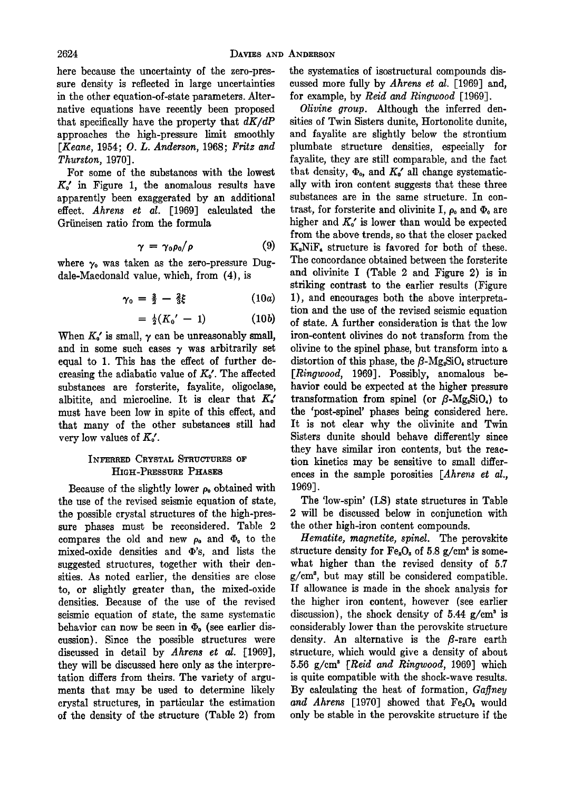**here because the uncertainty of the zero-pressure density is reflected in large uncertainties in the other equation-of-state parameters. Alternative equations have recently been proposed**  that specifically have the property that  $dK/dP$ **approaches the high-pressure limit smoothly [Keane, 1954; O. L. Anderson, 1968; Fritz and Thurston, 1970].** 

**For some of the substances with the lowest Ko' in Figure 1, the anomalous results have apparently been exaggerated by an additional effect. Ahrens et al. [1969] calculated the Griineisen ratio from the formula** 

$$
\gamma = \gamma_0 \rho_0 / \rho \tag{9}
$$

where  $\gamma_0$  was taken as the zero-pressure Dug**dale-Macdonald value, which, from (4), is** 

$$
\gamma_0 = \frac{3}{2} - \frac{2}{3}\xi \qquad (10a)
$$

$$
= \frac{1}{2}(K_0' - 1) \qquad (10b)
$$

When  $K_{\rho}$  is small,  $\gamma$  can be unreasonably small, and in some such cases  $\gamma$  was arbitrarily set **equal to 1. This has the effect of further de**creasing the adiabatic value of  $K_0$ <sup>'</sup>. The affected **substances are forsteritc, fayalite, oligoclase,**  albitite, and microcline. It is clear that  $K_0'$ **must have been low in spite of this effect, and**  that many of the other substances still had very low values of  $K_{\circ}$ .

## **INFERRED CRYSTAL STRUCTURES OF HIGH-PRESSURE PHASES**

**Because of the slightly lower po obtained with the use of the revised seismic equation of state, the possible crystal structures of the high-pressure phases must be reconsidered. Table 2**  compares the old and new  $\rho_0$  and  $\Phi_0$  to the mixed-oxide densities and  $\Phi$ 's, and lists the **suggested structures, together with their densities. As noted earlier, the densities are close to, or slighfiy greater than, the mixed-oxide densities. Because of the use of the revised seismic equation of state, the same systematic**  behavior can now be seen in  $\Phi_0$  (see earlier dis**cussion). Since the possible structures were**  discussed in detail by *Ahrens et al.* [1969], they will be discussed here only as the interpretation differs from theirs. The variety of argu**ments that may be used to determine likely crystal structures, in particular the estimation of •he density of the structure (Table 2) from** 

**the systematics of isostructural compounds discussed more fully by Ahrens et al. [1969] and, for example, by Reid and Ringwood [1969].** 

**Olivine group. Although the inferred den**sities of Twin Sisters dunite, Hortonolite dunite, and fayalite are slightly below the strontium **plumbate structure densities, especially for**  fayalite, they are still comparable, and the fact that density,  $\Phi_{0}$ , and  $K_{0}'$  all change systematic**ally with iron content suggests that these three substances are in the same structure. In contrast, for forsterite and olivinite I,**  $\rho_0$  **and**  $\Phi_0$  **are** higher and  $K_{\rho}$  is lower than would be expected **from the above trends, so. that the closer packed K2NiF, structure is favored for both of these. The concordance obtained between the forsteritc and olivinite I (Table 2 and Figure 2) is in striking contrast to the earlier results (Figure 1), and encourages both the above interpretation and the use of the revised seismic equation of state. A further consideration is that the low iron-content olivines do not transform from the olivine to the spinel phase, but transform into a**  distortion of this phase, the  $\beta$ -Mg<sub>2</sub>SiO, structure **[Ringwood, 1969]. Possibly, anomalous behavior could be expected at the higher pressure transformation from spinel (or**  $\beta$ **-Mg<sub>2</sub>SiO<sub>4</sub>) to the 'post-spinel' phases being considered here. It is not clear why the olivinite and Twin Sisters dunitc should behave differently since they have similar iron contents, but the reaction kinetics may be sensitive to small differences in the sample porosities [Ahrens et al., 1969].** 

**The 'low-spin' (LS) state structures in Table 2 will be discussed below in conjunction with the other high-iron content compounds.** 

**Hematite, magnetite, spinel. The perovskite**  structure density for  $Fe_2O_5$  of 5.8  $g/cm^3$  is some**what higher than the revised density of 5.7 g/cm •, but may still be considered compatible. If allowance is made in the shock analysis for the higher iron content, however (see earher**  discussion), the shock density of 5.44  $g/cm^3$  is **considerably lower than the perovskite structure**  density. An alternative is the  $\beta$ -rare earth structure, which would give a density of about **5.56 g/cm 8 [Reid and Ringwood, 1969] which is quite compatible with the shock-wave results.**  By calculating the heat of formation, Gaffney and Ahrens [1970] showed that Fe<sub>2</sub>O<sub>3</sub> would **only be stable in the perovskite structure if the**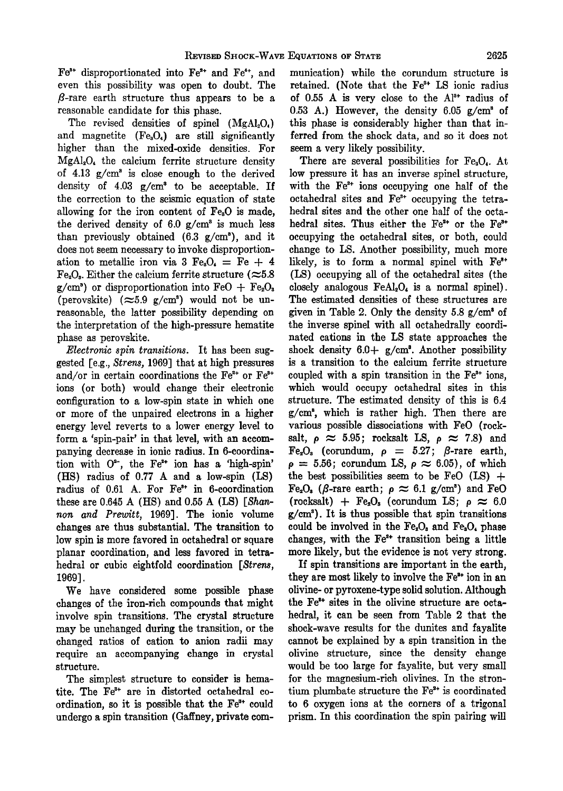Fe<sup>3+</sup> disproportionated into Fe<sup>2+</sup> and Fe<sup>4+</sup>, and **even this possibility was open to doubt. The •-rare earth structure thus appears to be a reasonable candidate for this phase.** 

The revised densities of spinel (MgAl<sub>2</sub>O<sub>4</sub>) and magnetite (Fe<sub>a</sub>O<sub>4</sub>) are still significantly **higher than the mixed-oxide densities. For MgAI•O• the calcium ferrite structure density**  of  $4.13 \text{ g/cm}^3$  is close enough to the derived density of  $4.03$   $g/cm<sup>3</sup>$  to be acceptable. If **the correction to the seismic equation of state**  allowing for the iron content of Fe<sub>s</sub>O is made, the derived density of  $6.0 \text{ g/cm}^3$  is much less **than previously obtained (6.3 g/cm'), and it does not seem necessary to invoke disproportion**ation to metallic iron via 3  $Fe<sub>s</sub>O<sub>t</sub> = Fe + 4$  $Fe<sub>2</sub>O<sub>8</sub>$ . Either the calcium ferrite structure ( $\approx 5.8$  $g/cm<sup>3</sup>$  or disproportionation into FeO + Fe<sub>2</sub>O<sub>3</sub> (perovskite)  $(\approx 5.9 \text{ g/cm}^3)$  would not be un**reasonable, the latter possibility depending on the interpretation of the high-pressure hematite phase as perovskite.** 

**Electronic spin transitions. It has been suggested [e.g., Strens, 1969] that at high pressures**  and/or in certain coordinations the Fe<sup>2+</sup> or Fe<sup>3+</sup> **ions (or both) would change their electronic configuration to a low-spin state in which one or more of the unpaired electrons in a higher energy level reverts to a lower energy level to form a 'spin-pair' in that level, with an accompanying decrease in ionic radius. In 6-coordina**tion with O<sup>2-</sup>, the Fe<sup>2+</sup> ion has a 'high-spin' **(I-IS) radius of 0.77 A and a low-spin (LS)**  radius of 0.61 A. For Fe<sup>3+</sup> in 6-coordination these are 0.645 A (HS) and 0.55 A (LS) [Shan**non and Prewitt, 1969]. The ionic volume changes are thus substantial. The transition to low spin is more favored in octahedral or square planar coordination, and less favored in tetrahedral or cubic eightfold coordination [Strens, 1969].** 

**We have considered some possible phase changes of the iron-rich compounds that might involve spin transitions. The crystal structure may be unchanged during the transition, or the**  changed ratios of cation to anion radii may **require an accompanying change in crystal structure.** 

**The simplest structure to consider is hema**tite. The Fe<sup>3+</sup> are in distorted octahedral coordination, so it is possible that the  $Fe<sup>3+</sup>$  could undergo a spin transition (Gaffney, private com**munication) while the corundum structure is**  retained. (Note that the Fe<sup>3+</sup> LS ionic radius of  $0.55$  A is very close to the  $Al^{3+}$  radius of 0.53 A.) However, the density  $6.05$   $g/cm<sup>3</sup>$  of **this phase is considerably higher than that inferred from the shock data, and so it does not seem a very likely possibility.** 

There are several possibilities for Fe<sub>a</sub>O<sub>4</sub>. At **low pressure it has an inverse spinel structure,**  with the Fe<sup>2+</sup> ions occupying one half of the octahedral sites and Fe<sup>3+</sup> occupying the tetra**hedral sites and the other one half of the octa**hedral sites. Thus either the Fe<sup>2+</sup> or the Fe<sup>2+</sup> **occupying the octahedral sites, or both, could change to LS. Another possibility, much more**  likely, is to form a normal spinel with Fe<sup>2+</sup> **(LS) occupying all of the octahedral sites (the closely analogous FeA120• is a normal spinel). The estimated densities of these structures are**  given in Table 2. Only the density  $5.8 \text{ g/cm}^3$  of **the inverse spinel with all octahedrally coordinated cartons in the LS state approaches the**  shock density  $6.0 + g/cm<sup>3</sup>$ . Another possibility **is a transition to the calcium ferrite structure**  coupled with a spin transition in the Fe<sup>3+</sup> ions, **which would occupy octahedral sites in this structure. The estimated density of this is 6.4 g/cm 3, which is rather high. Then there are various possible dissociations with FeO (rock**salt,  $\rho \approx 5.95$ ; rocksalt LS,  $\rho \approx 7.8$ ) and  $Fe<sub>2</sub>O<sub>8</sub>$  (corundum,  $\rho = 5.27$ ;  $\beta$ -rare earth,  $\rho = 5.56$ ; corundum LS,  $\rho \approx 6.05$ ), of which the best possibilities seem to be  $FeO$  (LS)  $+$  $Fe<sub>2</sub>O<sub>3</sub>$  ( $\beta$ -rare earth;  $\rho \approx 6.1$  g/cm<sup>3</sup>) and FeO  $(rocksalt) + Fe<sub>2</sub>O<sub>s</sub> (corundum LS; \rho \approx 6.0$ **g/cmO). It is thus possible that spin transitions could be involved in the Fe•O• and Fe•04 phase**  changes, with the Fe<sup>2+</sup> transition being a little **more likely, but the evidence is not very strong.** 

**If spin transitions are important in the earth,**  they are most likely to involve the Fe<sup>2+</sup> ion in an **olivine- or pyroxene-type solid solution. Although**  the Fe<sup>2+</sup> sites in the olivine structure are octa**hedral, it can be seen from Table 2 that the**  shock-wave results for the dunites and fayalite **cannot be explained by a spin transition in the olivine structure, since the density change**  would be too large for fayalite, but very small **for the magnesium-rich olivines. In the stron**tium plumbate structure the Fe<sup>2+</sup> is coordinated **to 6 oxygen ions at the corners of a trigonal prism. In this coordination the spin pairing will**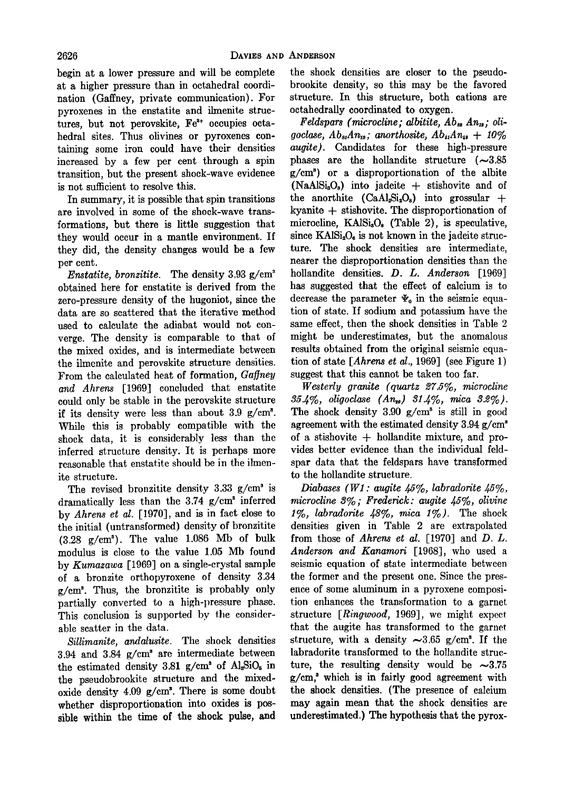**begin at a lower pressure and will be complete at a higher pressure than in octahedral coordination (Gaffney, private communication). For pyroxenes in the enstatite and ilmenite struc**tures, but not perovskite, Fe<sup>2+</sup> occupies octahedral sites. Thus olivines or pyroxenes con**taining some iron could have their densities increased by a few per cent through a spin transition, but the present shock-wave evidence is not sufficient to resolve this.** 

**In summary, it is possible that spin transitions are involved in some of the shock-wave transformations, but there is little suggestion that they would occur in a mantle environment. If they did, the density changes would be a few per cent.** 

**Enstatite, bronzitite.** The density 3.93 g/cm<sup>3</sup> **obtained here for enstatite is derived from the zero-pressure density of the hugoniot, since the data are so scattered that the iterative method used to calculate the adiabat would not converge. The density is comparable to that of the mixed oxides, and is intermediate between the ilmenite and perovskite structure densities.**  From the calculated heat of formation, Gaffney **and Ahrens [1969] concluded that enstatite could only be stable in the perovskite structure**  if its density were less than about 3.9 g/cm<sup>2</sup>. **While this is probably compatible with the shock data, it is considerably less than the inferred structure density. It is perhaps more reasonable that enstatite should be in the timen**ite structure.

The revised bronzitite density 3.33 g/cm<sup>3</sup> is dramatically less than the 3.74 g/cm<sup>3</sup> inferred **by Ahrens et al. [1970], and is in fact close to the initial (untransformed) density of bronzitite (3.28 g/cm'). The value 1.086 Mb of bulk modulus is close to the value 1.05 Mb found by Kumazawa [1969] on a single-crystal sample of a bronzite orthopyroxene of density 3.34 g/cm 3. Thus, the bronzitite is probably only partially converted to a high-pressure phase.**  This conclusion is supported by the consider**able scatter in the data.** 

**Sillimanite, andalusite. The shock densities**  3.94 and 3.84 g/cm<sup>3</sup> are intermediate between the estimated density 3.81 g/cm<sup>3</sup> of Al<sub>2</sub>SiO<sub>5</sub> in **the pseudobrookite structure and the mixedoxide density 4.09 g/cm 8. There is some doubt whether disproportionation into oxides is possible within the time of the shock pulse, and** 

**the shock densities are closer to the pseudobrookite density, so this may be the favored structure. In this structure, both cations are octahedrally coordinated to oxygen.** 

**Feldspars (microcline; albitite, Ab**<sub>88</sub> An<sub>12</sub>; oligoclase,  $Ab_{st}Am_{1s}$ ; anorthosite,  $Ab_{st}An_{1s} + 10\%$ **augire). Candidates for these high-pressure phases are the hollandite structure (~3.85 g/em •) or • disproportionation of the albite (NaA1Si•O•) into jadeite + stishovite and of**  the anorthite  $(CaAl_sSi_0O_s)$  into grossular  $+$ kyanite  $+$  stishovite. The disproportionation of microcline, KAlSi<sub>3</sub>O<sub>8</sub> (Table 2), is speculative, since KAlSi<sub>2</sub>O<sub>2</sub> is not known in the jadeite struc**ture. The shock densities are intermediate, nearer the disproportionation densities than the hollandite densities. D. L. Anderson [1969] has suggested that the effect of calcium is to**  decrease the parameter  $\Psi_0$  in the seismic equa**tion of state. If sodium and potassium have the same effect, then the shock densities in Table 2 might be underestimates, but the anomalous results obtained from the original seismic equation of state [Ahrens et al., 1969] (see Figure 1)**  suggest that this cannot be taken too far.

**Westerly. granite (quartz 27.5%, microcline 35.4%, oligoclase (Anco) 31.4%, mica 3.2%).**  The shock density  $3.90$   $g/cm<sup>3</sup>$  is still in good agreement with the estimated density 3.94 g/cm<sup>3</sup> **of a stishovite q- hollandite mixture, and provides better evidence than the individual feldspar data that the feldspars have transformed to the hollandite structure.** 

Diabases (W1: augite 45%, labradorite 45%, **microcline 3%; Frederick: augire •5%, olivine 1%, labradorire 48%, mica 1%). The shock densities given in Table 2 are extrapolated from those of Ahrens et al. [1970] and D. L. Anderson and Kanamori [1968], who used a seismic equation of state intermediate between the former and the present one. Since the presence of some aluminum in a pyroxene composition enhances the transformation to a garnet**  structure [*Ringwood*, 1969], we might expect **that the augire has transformed to the garnet**  structure, with a density  $\sim 3.65$  g/cm<sup>3</sup>. If the labradorite transformed to the hollandite struc**ture, the resulting density would be ~3.75 g/cm, • which is in fairly good agreement with the shock densities. (The presence of calcium may again mean that the shock densities are underestimated.) The hypothesis that the pyrox-**